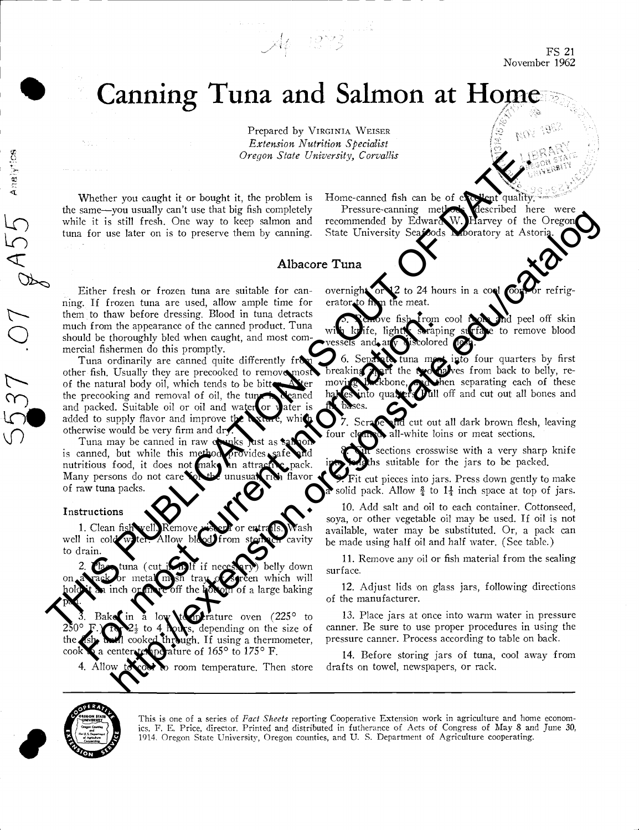FS 21 November 1962

# Canning Tuna and Salmon at Home

 $\mathcal{A}_{\mathfrak{p}}$  1873

Prepared by VIRGINIA WEISER Extension Nutrition Specialist Oregon State University, Corvallis

Whether you caught it or bought it, the problem is the same-you usually can't use that big fish completely while it is still fresh. One way to keep salmon and tuna for use later on is to preserve them by canning. Home-canned fish can be of excellent quality

Pressure-canning methods described here were<br>ommended by Edward W. Harvey of the Oregon recommended by Edward State University Seafoods Looratory at Astori

### Albacore Tuna

Either fresh or frozen tuna are suitable for canning. If frozen tuna are used, allow ample time for them to thaw before dressing. Blood in tuna detracts much from the appearance of the canned product. Tuna should be thoroughly bled when caught, and most commercial fishermen do this promptly.

Tuna ordinarily are canned quite differently from other fish. Usually they are precooked to remove most of the natural body oil, which tends to be bitter. After the precooking and removal of oil, the tuner. the precooking and removal of oil, the tune is canced and packed. Suitable oil or oil and water or vater is and packed. Suitable oil or oil and water added to supply flavor and improve th otherwise would be very firm and dry Denote for the material of the bright interest of the material control into the same-year of the same-year of the same-year of the same-year of the same-year of the same-year of the same-year of the same-year of the same-The base and the speech of the speech of the speech of the speeches of the current of this promptly. The current information of this property is current information:<br>The current information of this property is current info self fresh. One way to keep saltam and recommended by Edward Moreov of the Oregon State of the Contents of the Contents of the Contents of the Contents of the Contents of the Contents of the Contents of the Contents of th

Tuna may be canned in raw o is canned, but while this method nutritious food, it does not make an attractive pack Many persons do not care of raw tuna packs.

#### Instructions

Analytics

537 OT QA

well in cold water. Allow blood from stomach cavity to drain.

belly down which will a large baking pan. Clean fish well. Remove since for entransism a vailable cavity<br>
in tuna (cut is a low blod from storm belly down<br>
a low temperature oven  $(225^\circ$  to  $13$ .<br>
Bake in a low temperature oven  $(225^\circ$  to  $13$ .<br>  $\therefore$   $\bullet$   $\frac{$ 

3. Bakes in  $\bar{z}$  low to prature oven  $(225^\circ \text{ to } 250^\circ \text{ F.})$ <br>250° F.  $\sum_{z} z_z$  to 4 hours, depending on the size of the sixe of the sixe cooked through. If using a thermometer. uigh. If using a thermometer, cook a center temperature of  $165^\circ$  to  $175^\circ$  F.

4. Allow to cover to room temperature. Then store

overnight, or  $12$  to 24 hours in a cool room or refrigto firm the meat.

From cool room and peel off skin lightly straping surface to remove blood tolored

 $\frac{1}{2}$  into four quarters by first two halves from back to belly, re- $\lambda$  hen separating each of these **Pull** off and cut out all bones and fin bases.

d cut out all dark brown flesh, leaving all-white loins or meat sections.

ctions crosswise with a very sharp knife suitable for the jars to be packed.

Fit cut pieces into jars. Press down gently to make For Scrate and cut out all dark brown flesh, leaving<br>four clearly all-white loins or meat sections.<br>include at top of jars with a very sharp knife<br>inch space at top of jars.<br>Fit cut pieces into jars. Press down gently to m

Clean fish well. Remove viscer or entrails. Wash available, water may be substituted. Or, a pack can Add salt and oil to each container. Cottonseed, soya, or other vegetable oil may be used. If oil is not be made using half oil and half water. (See table.)

> 11. Remove any oil or fish material from the sealing surface.

> Adjust lids on glass jars, following directions of the manufacturer.

> 13. Place jars at once into warm water in pressure canner. Be sure to use proper procedures in using the pressure canner. Process according to table on back.

> 14. Before storing jars of tuna, cool away from drafts on towel, newspapers, or rack.



This is one of a series of Fact Sheets reporting Cooperative Extension work in agriculture and home economics, F. E. Price, director. Printed and distributed in futherance of Acts of Congress of May 8 and June 30, 1914. Oregon State University, Oregon counties, and U. S. Department of Agriculture cooperating.